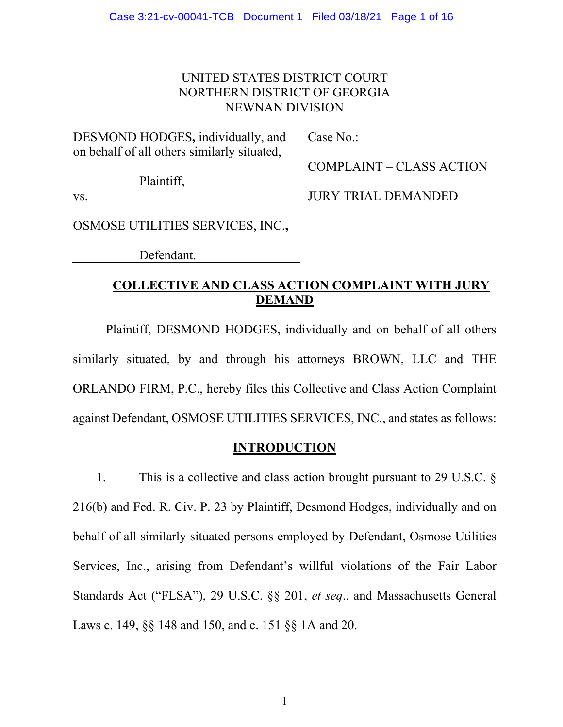# UNITED STATES DISTRICT COURT NORTHERN DISTRICT OF GEORGIA NEWNAN DIVISION

DESMOND HODGES**,** individually, and on behalf of all others similarly situated,

Plaintiff,

Case No.:

COMPLAINT – CLASS ACTION

vs.

OSMOSE UTILITIES SERVICES, INC.**,**

Defendant.

JURY TRIAL DEMANDED

# **COLLECTIVE AND CLASS ACTION COMPLAINT WITH JURY DEMAND**

Plaintiff, DESMOND HODGES, individually and on behalf of all others similarly situated, by and through his attorneys BROWN, LLC and THE ORLANDO FIRM, P.C., hereby files this Collective and Class Action Complaint against Defendant, OSMOSE UTILITIES SERVICES, INC., and states as follows:

## **INTRODUCTION**

1. This is a collective and class action brought pursuant to 29 U.S.C. § 216(b) and Fed. R. Civ. P. 23 by Plaintiff, Desmond Hodges, individually and on behalf of all similarly situated persons employed by Defendant, Osmose Utilities Services, Inc., arising from Defendant's willful violations of the Fair Labor Standards Act ("FLSA"), 29 U.S.C. §§ 201, *et seq*., and Massachusetts General Laws c. 149, §§ 148 and 150, and c. 151 §§ 1A and 20.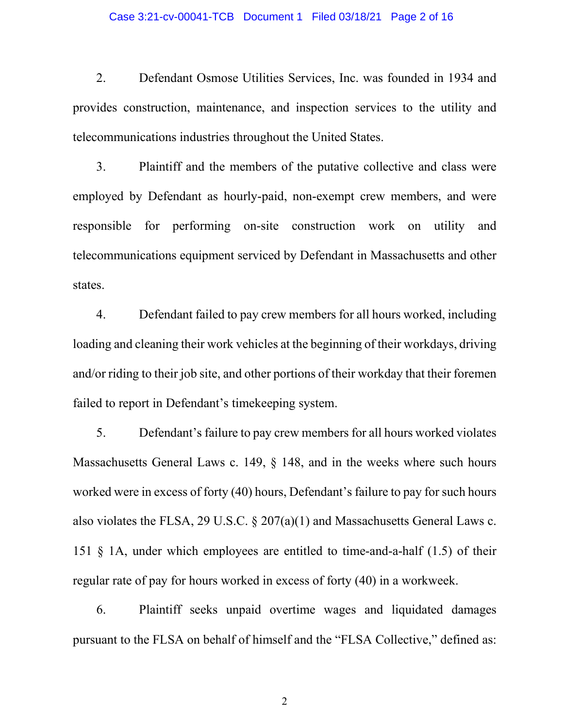#### Case 3:21-cv-00041-TCB Document 1 Filed 03/18/21 Page 2 of 16

2. Defendant Osmose Utilities Services, Inc. was founded in 1934 and provides construction, maintenance, and inspection services to the utility and telecommunications industries throughout the United States.

3. Plaintiff and the members of the putative collective and class were employed by Defendant as hourly-paid, non-exempt crew members, and were responsible for performing on-site construction work on utility and telecommunications equipment serviced by Defendant in Massachusetts and other states.

4. Defendant failed to pay crew members for all hours worked, including loading and cleaning their work vehicles at the beginning of their workdays, driving and/or riding to their job site, and other portions of their workday that their foremen failed to report in Defendant's timekeeping system.

5. Defendant's failure to pay crew members for all hours worked violates Massachusetts General Laws c. 149, § 148, and in the weeks where such hours worked were in excess of forty (40) hours, Defendant's failure to pay for such hours also violates the FLSA, 29 U.S.C. § 207(a)(1) and Massachusetts General Laws c. 151 § 1A, under which employees are entitled to time-and-a-half (1.5) of their regular rate of pay for hours worked in excess of forty (40) in a workweek.

6. Plaintiff seeks unpaid overtime wages and liquidated damages pursuant to the FLSA on behalf of himself and the "FLSA Collective," defined as: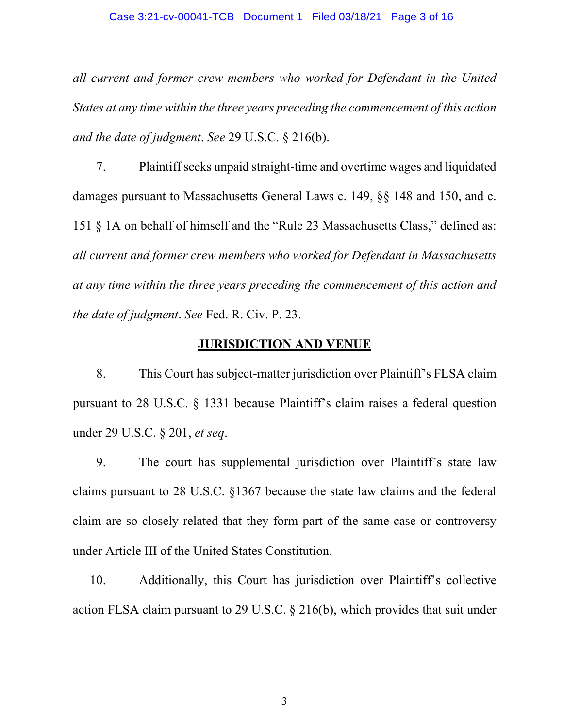*all current and former crew members who worked for Defendant in the United States at any time within the three years preceding the commencement of this action and the date of judgment*. *See* 29 U.S.C. § 216(b).

7. Plaintiff seeks unpaid straight-time and overtime wages and liquidated damages pursuant to Massachusetts General Laws c. 149, §§ 148 and 150, and c. 151 § 1A on behalf of himself and the "Rule 23 Massachusetts Class," defined as: *all current and former crew members who worked for Defendant in Massachusetts at any time within the three years preceding the commencement of this action and the date of judgment*. *See* Fed. R. Civ. P. 23.

### **JURISDICTION AND VENUE**

8. This Court has subject-matter jurisdiction over Plaintiff's FLSA claim pursuant to 28 U.S.C. § 1331 because Plaintiff's claim raises a federal question under 29 U.S.C. § 201, *et seq*.

9. The court has supplemental jurisdiction over Plaintiff's state law claims pursuant to 28 U.S.C. §1367 because the state law claims and the federal claim are so closely related that they form part of the same case or controversy under Article III of the United States Constitution.

10. Additionally, this Court has jurisdiction over Plaintiff's collective action FLSA claim pursuant to 29 U.S.C. § 216(b), which provides that suit under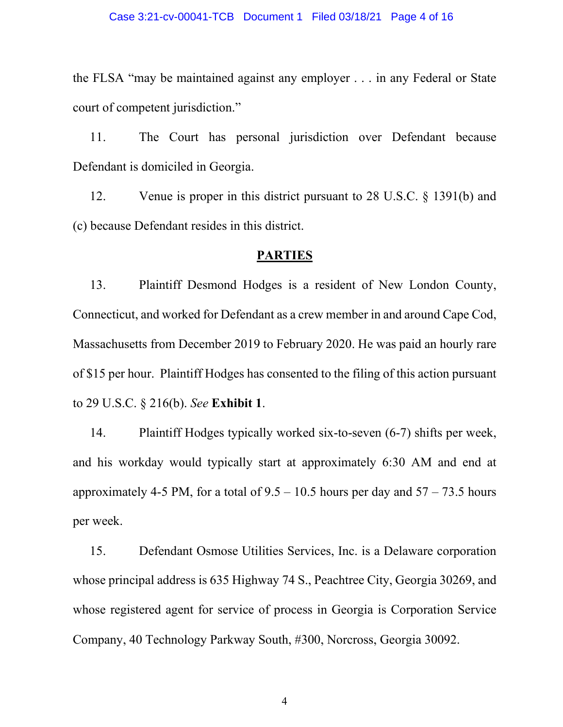the FLSA "may be maintained against any employer . . . in any Federal or State court of competent jurisdiction."

11. The Court has personal jurisdiction over Defendant because Defendant is domiciled in Georgia.

12. Venue is proper in this district pursuant to 28 U.S.C. § 1391(b) and (c) because Defendant resides in this district.

### **PARTIES**

13. Plaintiff Desmond Hodges is a resident of New London County, Connecticut, and worked for Defendant as a crew member in and around Cape Cod, Massachusetts from December 2019 to February 2020. He was paid an hourly rare of \$15 per hour. Plaintiff Hodges has consented to the filing of this action pursuant to 29 U.S.C. § 216(b). *See* **Exhibit 1**.

14. Plaintiff Hodges typically worked six-to-seven (6-7) shifts per week, and his workday would typically start at approximately 6:30 AM and end at approximately 4-5 PM, for a total of  $9.5 - 10.5$  hours per day and  $57 - 73.5$  hours per week.

15. Defendant Osmose Utilities Services, Inc. is a Delaware corporation whose principal address is 635 Highway 74 S., Peachtree City, Georgia 30269, and whose registered agent for service of process in Georgia is Corporation Service Company, 40 Technology Parkway South, #300, Norcross, Georgia 30092.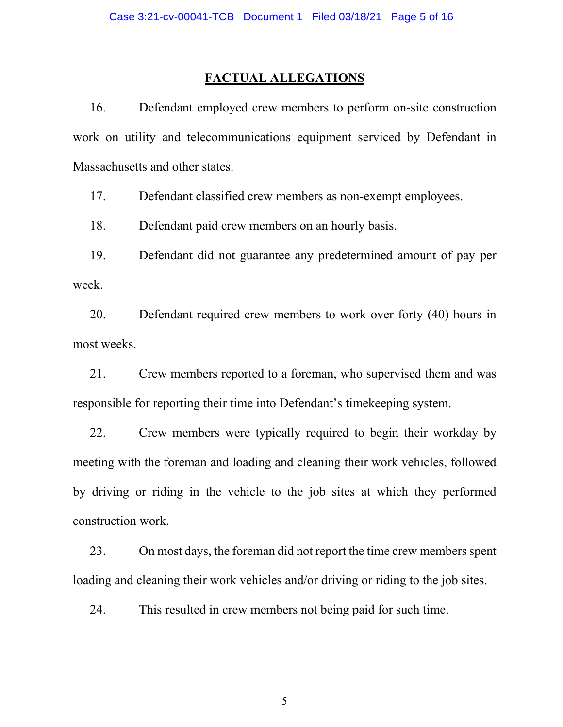### **FACTUAL ALLEGATIONS**

16. Defendant employed crew members to perform on-site construction work on utility and telecommunications equipment serviced by Defendant in Massachusetts and other states.

17. Defendant classified crew members as non-exempt employees.

18. Defendant paid crew members on an hourly basis.

19. Defendant did not guarantee any predetermined amount of pay per week.

20. Defendant required crew members to work over forty (40) hours in most weeks.

21. Crew members reported to a foreman, who supervised them and was responsible for reporting their time into Defendant's timekeeping system.

22. Crew members were typically required to begin their workday by meeting with the foreman and loading and cleaning their work vehicles, followed by driving or riding in the vehicle to the job sites at which they performed construction work.

23. On most days, the foreman did not report the time crew members spent loading and cleaning their work vehicles and/or driving or riding to the job sites.

24. This resulted in crew members not being paid for such time.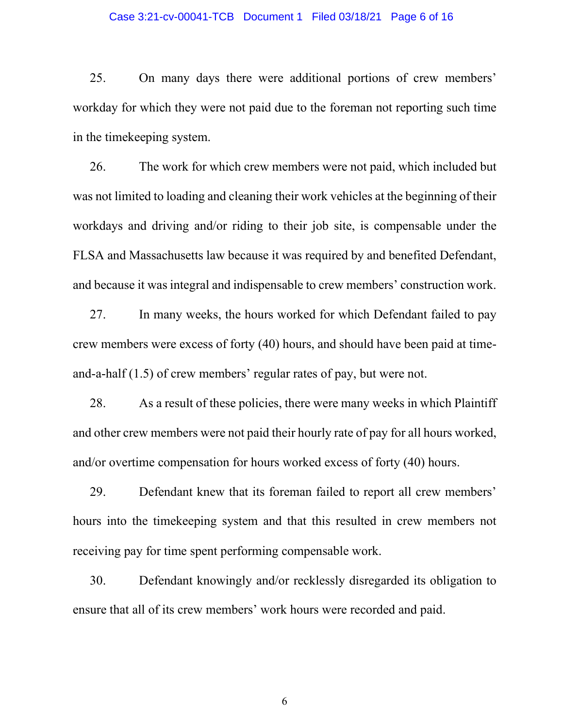#### Case 3:21-cv-00041-TCB Document 1 Filed 03/18/21 Page 6 of 16

25. On many days there were additional portions of crew members' workday for which they were not paid due to the foreman not reporting such time in the timekeeping system.

26. The work for which crew members were not paid, which included but was not limited to loading and cleaning their work vehicles at the beginning of their workdays and driving and/or riding to their job site, is compensable under the FLSA and Massachusetts law because it was required by and benefited Defendant, and because it was integral and indispensable to crew members' construction work.

27. In many weeks, the hours worked for which Defendant failed to pay crew members were excess of forty (40) hours, and should have been paid at timeand-a-half (1.5) of crew members' regular rates of pay, but were not.

28. As a result of these policies, there were many weeks in which Plaintiff and other crew members were not paid their hourly rate of pay for all hours worked, and/or overtime compensation for hours worked excess of forty (40) hours.

29. Defendant knew that its foreman failed to report all crew members' hours into the timekeeping system and that this resulted in crew members not receiving pay for time spent performing compensable work.

30. Defendant knowingly and/or recklessly disregarded its obligation to ensure that all of its crew members' work hours were recorded and paid.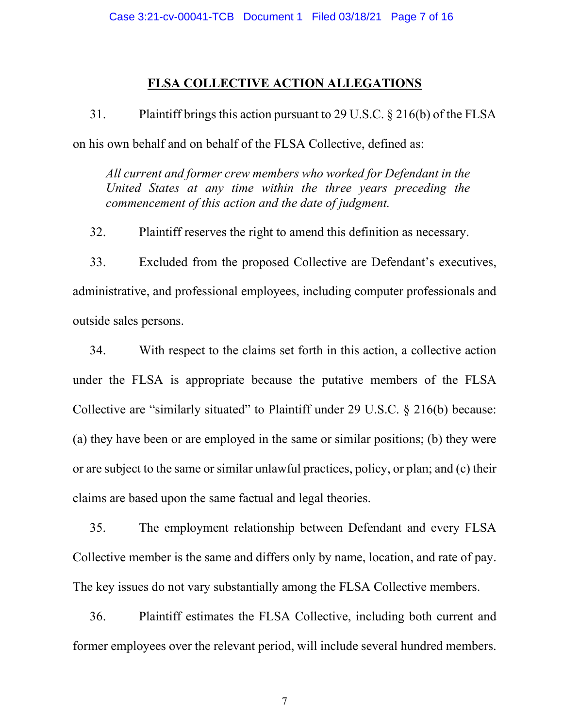### **FLSA COLLECTIVE ACTION ALLEGATIONS**

31. Plaintiff brings this action pursuant to 29 U.S.C. § 216(b) of the FLSA on his own behalf and on behalf of the FLSA Collective, defined as:

*All current and former crew members who worked for Defendant in the United States at any time within the three years preceding the commencement of this action and the date of judgment.*

32. Plaintiff reserves the right to amend this definition as necessary.

33. Excluded from the proposed Collective are Defendant's executives, administrative, and professional employees, including computer professionals and outside sales persons.

34. With respect to the claims set forth in this action, a collective action under the FLSA is appropriate because the putative members of the FLSA Collective are "similarly situated" to Plaintiff under 29 U.S.C. § 216(b) because: (a) they have been or are employed in the same or similar positions; (b) they were or are subject to the same or similar unlawful practices, policy, or plan; and (c) their claims are based upon the same factual and legal theories.

35. The employment relationship between Defendant and every FLSA Collective member is the same and differs only by name, location, and rate of pay. The key issues do not vary substantially among the FLSA Collective members.

36. Plaintiff estimates the FLSA Collective, including both current and former employees over the relevant period, will include several hundred members.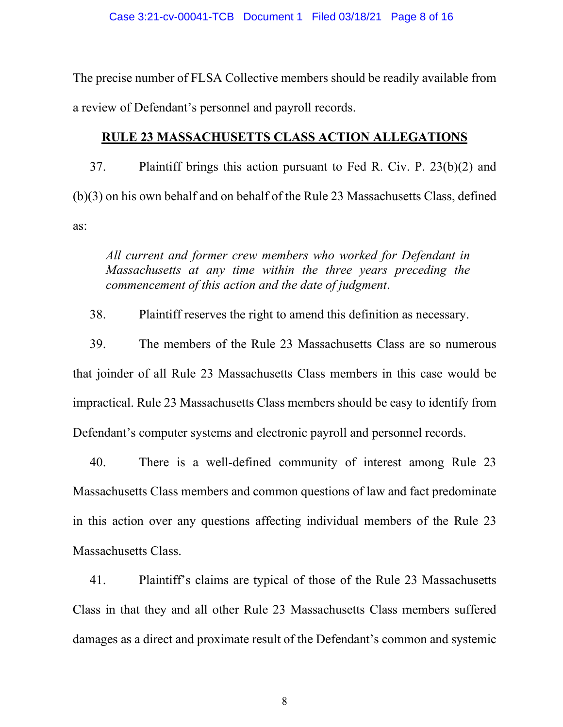The precise number of FLSA Collective members should be readily available from a review of Defendant's personnel and payroll records.

## **RULE 23 MASSACHUSETTS CLASS ACTION ALLEGATIONS**

37. Plaintiff brings this action pursuant to Fed R. Civ. P. 23(b)(2) and (b)(3) on his own behalf and on behalf of the Rule 23 Massachusetts Class, defined as:

*All current and former crew members who worked for Defendant in Massachusetts at any time within the three years preceding the commencement of this action and the date of judgment*.

38. Plaintiff reserves the right to amend this definition as necessary.

39. The members of the Rule 23 Massachusetts Class are so numerous that joinder of all Rule 23 Massachusetts Class members in this case would be impractical. Rule 23 Massachusetts Class members should be easy to identify from Defendant's computer systems and electronic payroll and personnel records.

40. There is a well-defined community of interest among Rule 23 Massachusetts Class members and common questions of law and fact predominate in this action over any questions affecting individual members of the Rule 23 Massachusetts Class.

41. Plaintiff's claims are typical of those of the Rule 23 Massachusetts Class in that they and all other Rule 23 Massachusetts Class members suffered damages as a direct and proximate result of the Defendant's common and systemic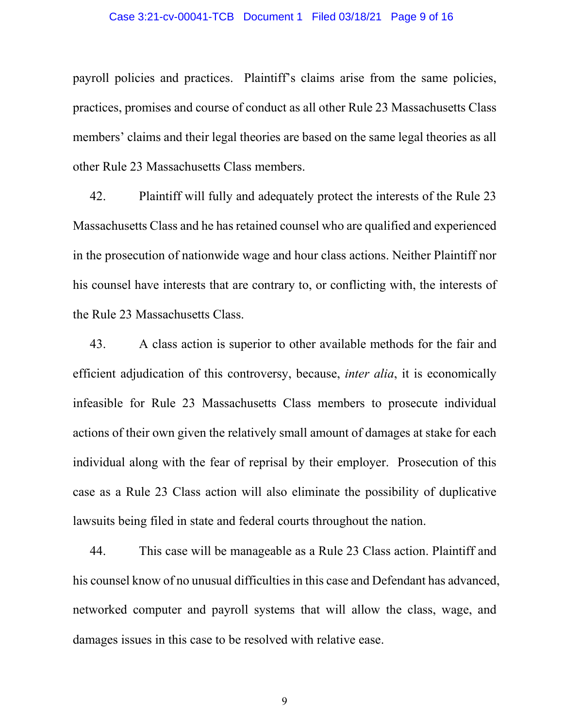#### Case 3:21-cv-00041-TCB Document 1 Filed 03/18/21 Page 9 of 16

payroll policies and practices. Plaintiff's claims arise from the same policies, practices, promises and course of conduct as all other Rule 23 Massachusetts Class members' claims and their legal theories are based on the same legal theories as all other Rule 23 Massachusetts Class members.

42. Plaintiff will fully and adequately protect the interests of the Rule 23 Massachusetts Class and he has retained counsel who are qualified and experienced in the prosecution of nationwide wage and hour class actions. Neither Plaintiff nor his counsel have interests that are contrary to, or conflicting with, the interests of the Rule 23 Massachusetts Class.

43. A class action is superior to other available methods for the fair and efficient adjudication of this controversy, because, *inter alia*, it is economically infeasible for Rule 23 Massachusetts Class members to prosecute individual actions of their own given the relatively small amount of damages at stake for each individual along with the fear of reprisal by their employer. Prosecution of this case as a Rule 23 Class action will also eliminate the possibility of duplicative lawsuits being filed in state and federal courts throughout the nation.

44. This case will be manageable as a Rule 23 Class action. Plaintiff and his counsel know of no unusual difficulties in this case and Defendant has advanced, networked computer and payroll systems that will allow the class, wage, and damages issues in this case to be resolved with relative ease.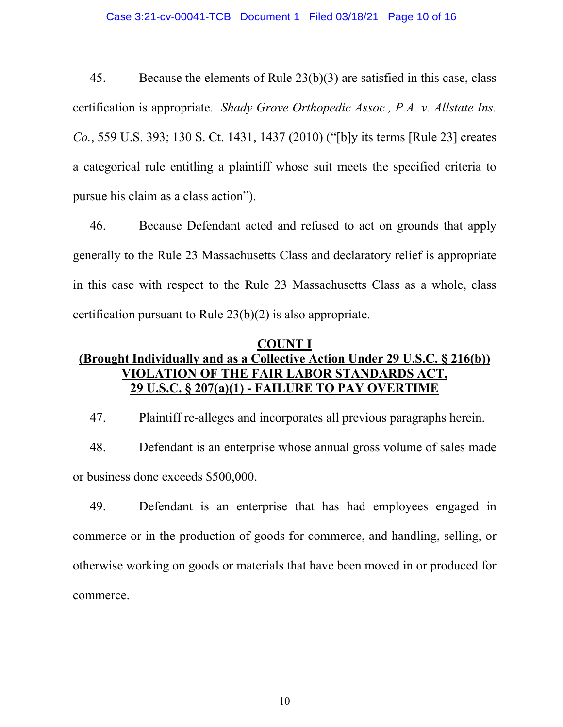45. Because the elements of Rule 23(b)(3) are satisfied in this case, class certification is appropriate. *Shady Grove Orthopedic Assoc., P.A. v. Allstate Ins. Co.*, 559 U.S. 393; 130 S. Ct. 1431, 1437 (2010) ("[b]y its terms [Rule 23] creates a categorical rule entitling a plaintiff whose suit meets the specified criteria to pursue his claim as a class action").

46. Because Defendant acted and refused to act on grounds that apply generally to the Rule 23 Massachusetts Class and declaratory relief is appropriate in this case with respect to the Rule 23 Massachusetts Class as a whole, class certification pursuant to Rule 23(b)(2) is also appropriate.

## **COUNT I (Brought Individually and as a Collective Action Under 29 U.S.C. § 216(b)) VIOLATION OF THE FAIR LABOR STANDARDS ACT, 29 U.S.C. § 207(a)(1) - FAILURE TO PAY OVERTIME**

47. Plaintiff re-alleges and incorporates all previous paragraphs herein.

48. Defendant is an enterprise whose annual gross volume of sales made or business done exceeds \$500,000.

49. Defendant is an enterprise that has had employees engaged in commerce or in the production of goods for commerce, and handling, selling, or otherwise working on goods or materials that have been moved in or produced for commerce.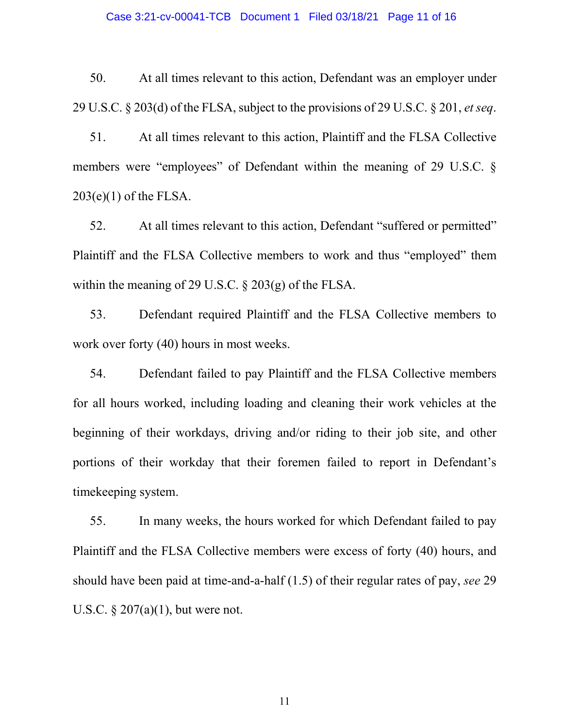#### Case 3:21-cv-00041-TCB Document 1 Filed 03/18/21 Page 11 of 16

50. At all times relevant to this action, Defendant was an employer under 29 U.S.C. § 203(d) of the FLSA, subject to the provisions of 29 U.S.C. § 201, *et seq*.

51. At all times relevant to this action, Plaintiff and the FLSA Collective members were "employees" of Defendant within the meaning of 29 U.S.C.  $\delta$  $203(e)(1)$  of the FLSA.

52. At all times relevant to this action, Defendant "suffered or permitted" Plaintiff and the FLSA Collective members to work and thus "employed" them within the meaning of 29 U.S.C. § 203(g) of the FLSA.

53. Defendant required Plaintiff and the FLSA Collective members to work over forty (40) hours in most weeks.

54. Defendant failed to pay Plaintiff and the FLSA Collective members for all hours worked, including loading and cleaning their work vehicles at the beginning of their workdays, driving and/or riding to their job site, and other portions of their workday that their foremen failed to report in Defendant's timekeeping system.

55. In many weeks, the hours worked for which Defendant failed to pay Plaintiff and the FLSA Collective members were excess of forty (40) hours, and should have been paid at time-and-a-half (1.5) of their regular rates of pay, *see* 29 U.S.C.  $\S 207(a)(1)$ , but were not.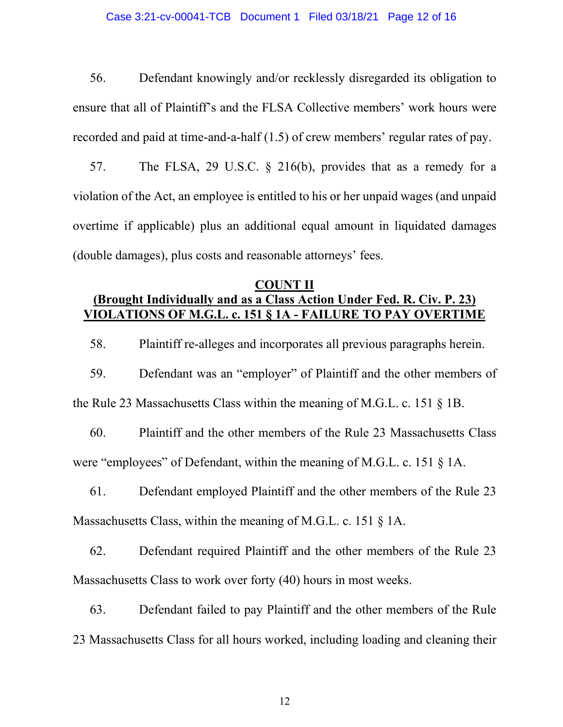#### Case 3:21-cv-00041-TCB Document 1 Filed 03/18/21 Page 12 of 16

56. Defendant knowingly and/or recklessly disregarded its obligation to ensure that all of Plaintiff's and the FLSA Collective members' work hours were recorded and paid at time-and-a-half (1.5) of crew members' regular rates of pay.

57. The FLSA, 29 U.S.C. § 216(b), provides that as a remedy for a violation of the Act, an employee is entitled to his or her unpaid wages (and unpaid overtime if applicable) plus an additional equal amount in liquidated damages (double damages), plus costs and reasonable attorneys' fees.

### **COUNT II (Brought Individually and as a Class Action Under Fed. R. Civ. P. 23) VIOLATIONS OF M.G.L. c. 151 § 1A - FAILURE TO PAY OVERTIME**

58. Plaintiff re-alleges and incorporates all previous paragraphs herein.

59. Defendant was an "employer" of Plaintiff and the other members of the Rule 23 Massachusetts Class within the meaning of M.G.L. c. 151 § 1B.

60. Plaintiff and the other members of the Rule 23 Massachusetts Class were "employees" of Defendant, within the meaning of M.G.L. c. 151 § 1A.

61. Defendant employed Plaintiff and the other members of the Rule 23 Massachusetts Class, within the meaning of M.G.L. c. 151 § 1A.

62. Defendant required Plaintiff and the other members of the Rule 23 Massachusetts Class to work over forty (40) hours in most weeks.

63. Defendant failed to pay Plaintiff and the other members of the Rule 23 Massachusetts Class for all hours worked, including loading and cleaning their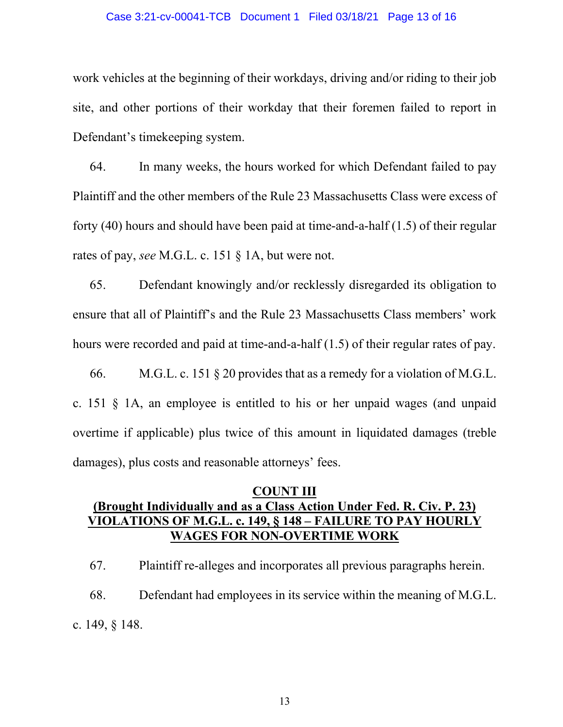#### Case 3:21-cv-00041-TCB Document 1 Filed 03/18/21 Page 13 of 16

work vehicles at the beginning of their workdays, driving and/or riding to their job site, and other portions of their workday that their foremen failed to report in Defendant's timekeeping system.

64. In many weeks, the hours worked for which Defendant failed to pay Plaintiff and the other members of the Rule 23 Massachusetts Class were excess of forty (40) hours and should have been paid at time-and-a-half (1.5) of their regular rates of pay, *see* M.G.L. c. 151 § 1A, but were not.

65. Defendant knowingly and/or recklessly disregarded its obligation to ensure that all of Plaintiff's and the Rule 23 Massachusetts Class members' work hours were recorded and paid at time-and-a-half (1.5) of their regular rates of pay.

66. M.G.L. c. 151 § 20 provides that as a remedy for a violation of M.G.L. c. 151 § 1A, an employee is entitled to his or her unpaid wages (and unpaid overtime if applicable) plus twice of this amount in liquidated damages (treble damages), plus costs and reasonable attorneys' fees.

## **COUNT III (Brought Individually and as a Class Action Under Fed. R. Civ. P. 23) VIOLATIONS OF M.G.L. c. 149, § 148 – FAILURE TO PAY HOURLY WAGES FOR NON-OVERTIME WORK**

67. Plaintiff re-alleges and incorporates all previous paragraphs herein. 68. Defendant had employees in its service within the meaning of M.G.L. c. 149, § 148.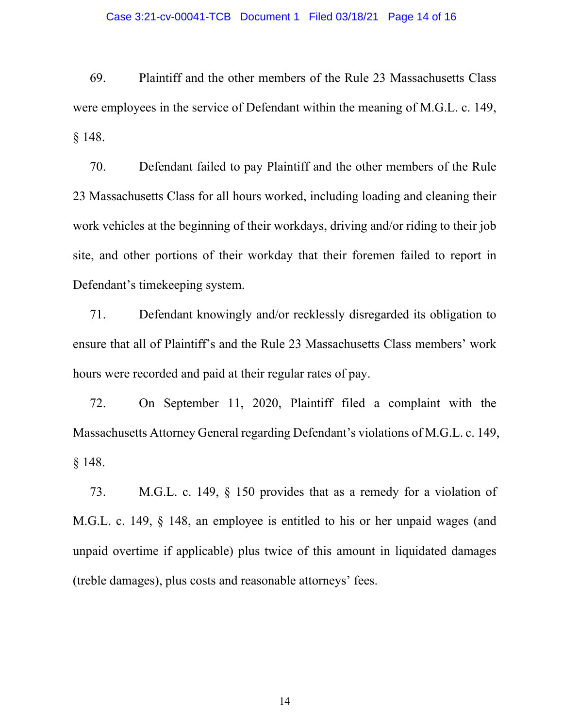#### Case 3:21-cv-00041-TCB Document 1 Filed 03/18/21 Page 14 of 16

69. Plaintiff and the other members of the Rule 23 Massachusetts Class were employees in the service of Defendant within the meaning of M.G.L. c. 149, § 148.

70. Defendant failed to pay Plaintiff and the other members of the Rule 23 Massachusetts Class for all hours worked, including loading and cleaning their work vehicles at the beginning of their workdays, driving and/or riding to their job site, and other portions of their workday that their foremen failed to report in Defendant's timekeeping system.

71. Defendant knowingly and/or recklessly disregarded its obligation to ensure that all of Plaintiff's and the Rule 23 Massachusetts Class members' work hours were recorded and paid at their regular rates of pay.

72. On September 11, 2020, Plaintiff filed a complaint with the Massachusetts Attorney General regarding Defendant's violations of M.G.L. c. 149, § 148.

73. M.G.L. c. 149, § 150 provides that as a remedy for a violation of M.G.L. c. 149, § 148, an employee is entitled to his or her unpaid wages (and unpaid overtime if applicable) plus twice of this amount in liquidated damages (treble damages), plus costs and reasonable attorneys' fees.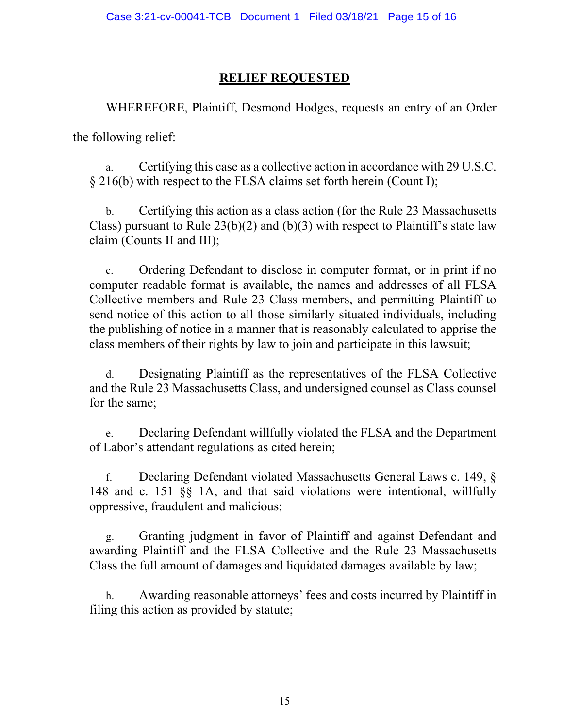# **RELIEF REQUESTED**

WHEREFORE, Plaintiff, Desmond Hodges, requests an entry of an Order the following relief:

a. Certifying this case as a collective action in accordance with 29 U.S.C. § 216(b) with respect to the FLSA claims set forth herein (Count I);

b. Certifying this action as a class action (for the Rule 23 Massachusetts Class) pursuant to Rule  $23(b)(2)$  and  $(b)(3)$  with respect to Plaintiff's state law claim (Counts II and III);

c. Ordering Defendant to disclose in computer format, or in print if no computer readable format is available, the names and addresses of all FLSA Collective members and Rule 23 Class members, and permitting Plaintiff to send notice of this action to all those similarly situated individuals, including the publishing of notice in a manner that is reasonably calculated to apprise the class members of their rights by law to join and participate in this lawsuit;

d. Designating Plaintiff as the representatives of the FLSA Collective and the Rule 23 Massachusetts Class, and undersigned counsel as Class counsel for the same;

e. Declaring Defendant willfully violated the FLSA and the Department of Labor's attendant regulations as cited herein;

f. Declaring Defendant violated Massachusetts General Laws c. 149, § 148 and c. 151 §§ 1A, and that said violations were intentional, willfully oppressive, fraudulent and malicious;

g. Granting judgment in favor of Plaintiff and against Defendant and awarding Plaintiff and the FLSA Collective and the Rule 23 Massachusetts Class the full amount of damages and liquidated damages available by law;

h. Awarding reasonable attorneys' fees and costs incurred by Plaintiff in filing this action as provided by statute;